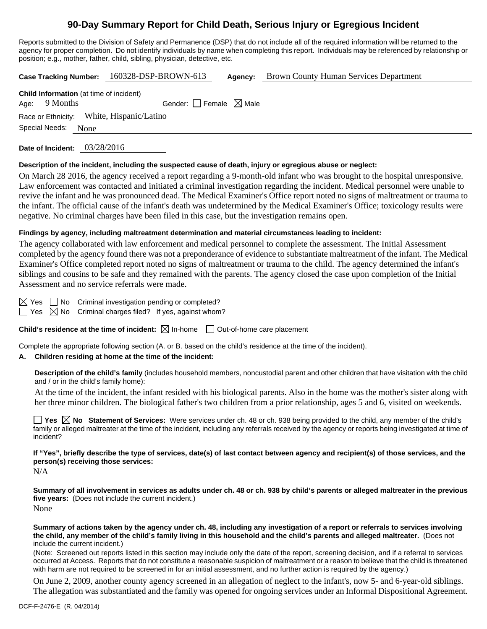# **90-Day Summary Report for Child Death, Serious Injury or Egregious Incident**

Reports submitted to the Division of Safety and Permanence (DSP) that do not include all of the required information will be returned to the agency for proper completion. Do not identify individuals by name when completing this report. Individuals may be referenced by relationship or position; e.g., mother, father, child, sibling, physician, detective, etc.

**Case Tracking Number:** 160328-DSP-BROWN-613 **Agency:** Brown County Human Services Department

| <b>Child Information</b> (at time of incident) |                 |                                        |  |  |  |
|------------------------------------------------|-----------------|----------------------------------------|--|--|--|
|                                                | Age: $9$ Months | Gender: $\Box$ Female $\boxtimes$ Male |  |  |  |
| Race or Ethnicity: White, Hispanic/Latino      |                 |                                        |  |  |  |
| Special Needs:<br>None                         |                 |                                        |  |  |  |

**Date of Incident:** 03/28/2016

#### **Description of the incident, including the suspected cause of death, injury or egregious abuse or neglect:**

On March 28 2016, the agency received a report regarding a 9-month-old infant who was brought to the hospital unresponsive. Law enforcement was contacted and initiated a criminal investigation regarding the incident. Medical personnel were unable to revive the infant and he was pronounced dead. The Medical Examiner's Office report noted no signs of maltreatment or trauma to the infant. The official cause of the infant's death was undetermined by the Medical Examiner's Office; toxicology results were negative. No criminal charges have been filed in this case, but the investigation remains open.

## **Findings by agency, including maltreatment determination and material circumstances leading to incident:**

The agency collaborated with law enforcement and medical personnel to complete the assessment. The Initial Assessment completed by the agency found there was not a preponderance of evidence to substantiate maltreatment of the infant. The Medical Examiner's Office completed report noted no signs of maltreatment or trauma to the child. The agency determined the infant's siblings and cousins to be safe and they remained with the parents. The agency closed the case upon completion of the Initial Assessment and no service referrals were made.

 $\boxtimes$  Yes  $\Box$  No Criminal investigation pending or completed?

 $\Box$  Yes  $\boxtimes$  No Criminal charges filed? If yes, against whom?

**Child's residence at the time of incident:**  $\boxtimes$  In-home  $\Box$  Out-of-home care placement

Complete the appropriate following section (A. or B. based on the child's residence at the time of the incident).

# **A. Children residing at home at the time of the incident:**

**Description of the child's family** (includes household members, noncustodial parent and other children that have visitation with the child and / or in the child's family home):

 At the time of the incident, the infant resided with his biological parents. Also in the home was the mother's sister along with her three minor children. The biological father's two children from a prior relationship, ages 5 and 6, visited on weekends.

**Yes**  $\boxtimes$  **No** Statement of Services: Were services under ch. 48 or ch. 938 being provided to the child, any member of the child's family or alleged maltreater at the time of the incident, including any referrals received by the agency or reports being investigated at time of incident?

**If "Yes", briefly describe the type of services, date(s) of last contact between agency and recipient(s) of those services, and the person(s) receiving those services:** 

N/A

**Summary of all involvement in services as adults under ch. 48 or ch. 938 by child's parents or alleged maltreater in the previous five years:** (Does not include the current incident.) None

**Summary of actions taken by the agency under ch. 48, including any investigation of a report or referrals to services involving the child, any member of the child's family living in this household and the child's parents and alleged maltreater.** (Does not include the current incident.)

(Note: Screened out reports listed in this section may include only the date of the report, screening decision, and if a referral to services occurred at Access. Reports that do not constitute a reasonable suspicion of maltreatment or a reason to believe that the child is threatened with harm are not required to be screened in for an initial assessment, and no further action is required by the agency.)

On June 2, 2009, another county agency screened in an allegation of neglect to the infant's, now 5- and 6-year-old siblings. The allegation was substantiated and the family was opened for ongoing services under an Informal Dispositional Agreement.